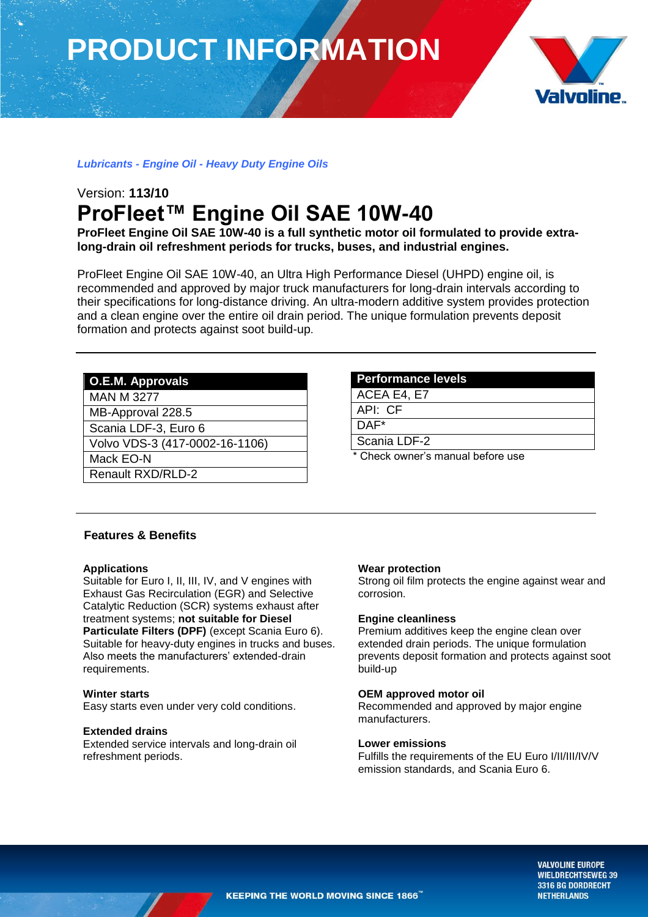# **PRODUCT INFORMATION**



# *Lubricants - Engine Oil - Heavy Duty Engine Oils*

# Version: **113/10 ProFleet™ Engine Oil SAE 10W-40**

**ProFleet Engine Oil SAE 10W-40 is a full synthetic motor oil formulated to provide extralong-drain oil refreshment periods for trucks, buses, and industrial engines.** 

ProFleet Engine Oil SAE 10W-40, an Ultra High Performance Diesel (UHPD) engine oil, is recommended and approved by major truck manufacturers for long-drain intervals according to their specifications for long-distance driving. An ultra-modern additive system provides protection and a clean engine over the entire oil drain period. The unique formulation prevents deposit formation and protects against soot build-up.

# **O.E.M. Approvals**

MAN M 3277

MB-Approval 228.5

Scania LDF-3, Euro 6

Volvo VDS-3 (417-0002-16-1106)

Mack EO-N

Renault RXD/RLD-2

#### **Performance levels**

ACEA E4, E7

API: CF

DAF\*

Scania LDF-2

Check owner's manual before use

### **Features & Benefits**

#### **Applications**

Suitable for Euro I, II, III, IV, and V engines with Exhaust Gas Recirculation (EGR) and Selective Catalytic Reduction (SCR) systems exhaust after treatment systems; **not suitable for Diesel Particulate Filters (DPF)** (except Scania Euro 6). Suitable for heavy-duty engines in trucks and buses. Also meets the manufacturers' extended-drain requirements.

#### **Winter starts**

Easy starts even under very cold conditions.

#### **Extended drains**

Extended service intervals and long-drain oil refreshment periods.

#### **Wear protection**

Strong oil film protects the engine against wear and corrosion.

#### **Engine cleanliness**

Premium additives keep the engine clean over extended drain periods. The unique formulation prevents deposit formation and protects against soot build-up

#### **OEM approved motor oil**

Recommended and approved by major engine manufacturers.

### **Lower emissions**

Fulfills the requirements of the EU Euro I/II/III/IV/V emission standards, and Scania Euro 6.

> **VALVOLINE EUROPE WIELDRECHTSEWEG 39** 3316 BG DORDRECHT **NETHERLANDS**